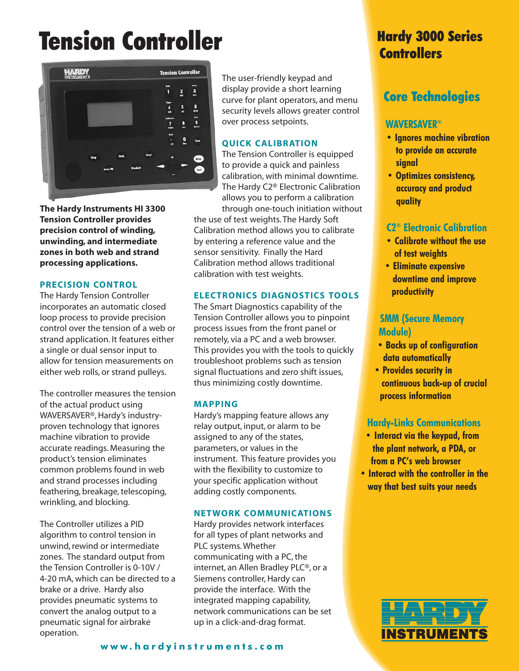# **Tension Controller** Hardy 3000 Series



**The Hardy Instruments HI 3300 Tension Controller provides precision control of winding, unwinding, and intermediate zones in both web and strand processing applications.**

### **PRECISION CONTROL**

The Hardy Tension Controller incorporates an automatic closed loop process to provide precision control over the tension of a web or strand application. It features either a single or dual sensor input to allow for tension measurements on either web rolls, or strand pulleys.

The controller measures the tension of the actual product using WAVERSAVER®, Hardy's industryproven technology that ignores machine vibration to provide accurate readings. Measuring the product's tension eliminates common problems found in web and strand processes including feathering, breakage, telescoping, wrinkling, and blocking.

The Controller utilizes a PID algorithm to control tension in unwind, rewind or intermediate zones. The standard output from the Tension Controller is 0-10V / 4-20 mA, which can be directed to a brake or a drive. Hardy also provides pneumatic systems to convert the analog output to a pneumatic signal for airbrake operation.

The user-friendly keypad and display provide a short learning curve for plant operators, and menu security levels allows greater control over process setpoints.

### **QUICK CALIBRATION**

The Tension Controller is equipped to provide a quick and painless calibration, with minimal downtime. The Hardy C2® Electronic Calibration allows you to perform a calibration through one-touch initiation without

the use of test weights. The Hardy Soft Calibration method allows you to calibrate by entering a reference value and the sensor sensitivity. Finally the Hard Calibration method allows traditional calibration with test weights.

## **ELECTRONICS DIAGNOSTICS TOOLS**

The Smart Diagnostics capability of the Tension Controller allows you to pinpoint process issues from the front panel or remotely, via a PC and a web browser. This provides you with the tools to quickly troubleshoot problems such as tension signal fluctuations and zero shift issues, thus minimizing costly downtime.

#### **MAPPING**

Hardy's mapping feature allows any relay output, input, or alarm to be assigned to any of the states, parameters, or values in the instrument. This feature provides you with the flexibility to customize to your specific application without adding costly components.

#### **NETWORK COMMUNICATIONS**

Hardy provides network interfaces for all types of plant networks and PLC systems. Whether communicating with a PC, the internet, an Allen Bradley PLC®, or a Siemens controller, Hardy can provide the interface. With the integrated mapping capability, network communications can be set up in a click-and-drag format.

# **Controllers**

# Core Technologies

# **WAVERSAVER®**

- **Ignores machine vibration to provide an accurate signal**
- **Optimizes consistency, accuracy and product quality**

# **C2® Electronic Calibration**

- **Calibrate without the use of test weights**
- **Eliminate expensive downtime and improve productivity**

# **SMM (Secure Memory Module)**

- **Backs up of configuration data automatically**
- **Provides security in continuous back-up of crucial process information**

# **Hardy-Links Communications**

- **Interact via the keypad, from the plant network, a PDA, or from a PC's web browser**
- **Interact with the controller in the way that best suits your needs**



#### **www.hardyinstruments.com**